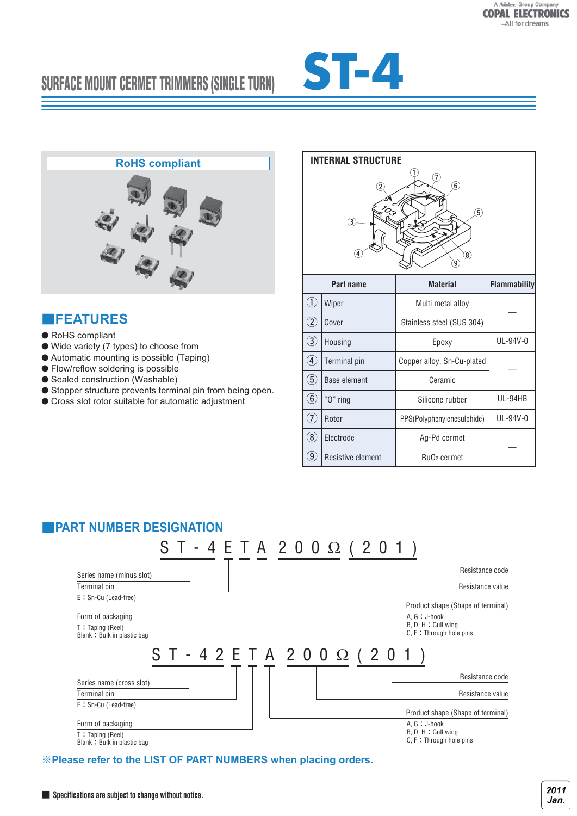# **SURFACE MOUNT CERMET TRIMMERS (SINGLE TURN)**





### ■**FEATURES**

- RoHS compliant
- Wide variety (7 types) to choose from
- Automatic mounting is possible (Taping)
- Flow/reflow soldering is possible
- Sealed construction (Washable)
- Stopper structure prevents terminal pin from being open.
- Cross slot rotor suitable for automatic adjustment

| <b>INTERNAL STRUCTURE</b>                                                   |                     |                                     |                     |  |  |
|-----------------------------------------------------------------------------|---------------------|-------------------------------------|---------------------|--|--|
| 1<br>$\circledS$<br>$\widehat{5}$<br>3<br>4<br>$\epsilon$<br>$\overline{9}$ |                     |                                     |                     |  |  |
| Part name                                                                   |                     | <b>Material</b>                     | <b>Flammability</b> |  |  |
| $\widehat{\mathbf{U}}$                                                      | Wiper               | Multi metal alloy                   |                     |  |  |
| $\widehat{2}$                                                               | Cover               | Stainless steel (SUS 304)           |                     |  |  |
| $\bigcirc$                                                                  | Housing             | Epoxy                               | UL-94V-0            |  |  |
| $\bigcircledA$                                                              | Terminal pin        | Copper alloy, Sn-Cu-plated          |                     |  |  |
| $\large{\textcircled{\small{5}}}$                                           | <b>Base element</b> | Ceramic                             |                     |  |  |
| $\bigcirc$                                                                  | "O" ring            | Silicone rubber                     | UL-94HB             |  |  |
| T)                                                                          | Rotor               | PPS(Polyphenylenesulphide)          | UL-94V-0            |  |  |
| $\circledR$                                                                 | Electrode           | Ag-Pd cermet                        |                     |  |  |
| $\large \textcircled{\scriptsize 9}$                                        | Resistive element   | Ru <sub>O</sub> <sub>2</sub> cermet |                     |  |  |



※**Please refer to the LIST OF PART NUMBERS when placing orders.**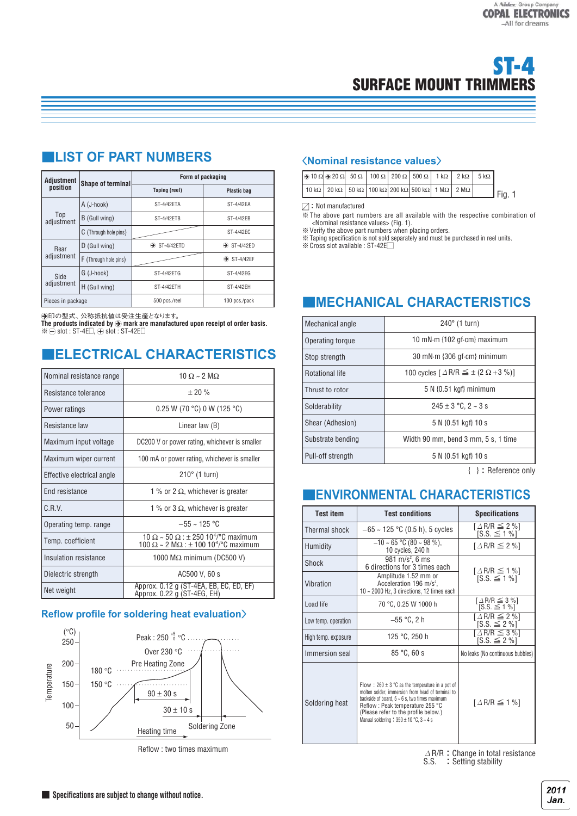| Adjustment         |                       | Form of packaging        |                         |  |  |
|--------------------|-----------------------|--------------------------|-------------------------|--|--|
| position           | Shape of terminal     | Taping (reel)            | <b>Plastic bag</b>      |  |  |
|                    | A (J-hook)            | ST-4/42ETA               | ST-4/42EA               |  |  |
| Top<br>adjustment  | B (Gull wing)         | ST-4/42ETB               | ST-4/42EB               |  |  |
|                    | C (Through hole pins) |                          | ST-4/42EC               |  |  |
| Rear               | D (Gull wing)         | $\rightarrow$ ST-4/42ETD | $\rightarrow$ ST-4/42ED |  |  |
| adjustment         | F (Through hole pins) |                          | $\rightarrow$ ST-4/42EF |  |  |
| Side<br>adjustment | G (J-hook)            | ST-4/42ETG               | ST-4/42EG               |  |  |
|                    | H (Gull wing)         | ST-4/42FTH               | ST-4/42EH               |  |  |
| Pieces in package  |                       | 500 pcs./reel            | 100 pcs./pack           |  |  |
|                    |                       |                          |                         |  |  |

# ■**LIST OF PART NUMBERS**

A印の型式、公称抵抗値は受注生産となります。

The products indicated by  $\bigcirc$  mark are manufactured upon receipt of order basis.  $\%$   $\ominus$  slot : ST-4E $\Box$ ,  $\oplus$  slot : ST-42E $\Box$ 

### ■**ELECTRICAL CHARACTERISTICS**

| Nominal resistance range   | $10 \Omega \sim 2 \text{ MO}$                                                                                                             |  |  |
|----------------------------|-------------------------------------------------------------------------------------------------------------------------------------------|--|--|
| Resistance tolerance       | $+20%$                                                                                                                                    |  |  |
| Power ratings              | $0.25$ W (70 °C) 0 W (125 °C)                                                                                                             |  |  |
| Resistance law             | Linear law (B)                                                                                                                            |  |  |
| Maximum input voltage      | DC200 V or power rating, whichever is smaller                                                                                             |  |  |
| Maximum wiper current      | 100 mA or power rating, whichever is smaller                                                                                              |  |  |
| Effective electrical angle | $210^\circ$ (1 turn)                                                                                                                      |  |  |
| <b>End resistance</b>      | 1 % or 2 $\Omega$ , whichever is greater                                                                                                  |  |  |
| C.R.V.                     | 1 % or 3 $\Omega$ , whichever is greater                                                                                                  |  |  |
| Operating temp. range      | $-55 \sim 125$ °C                                                                                                                         |  |  |
| Temp. coefficient          | 10 $\Omega$ ~ 50 $\Omega$ : $\pm$ 250 10 <sup>-6</sup> /°C maximum<br>100 $\Omega \sim 2$ M $\Omega$ : ± 100 10 <sup>-6</sup> /°C maximum |  |  |
| Insulation resistance      | 1000 MΩ minimum (DC500 V)                                                                                                                 |  |  |
| Dielectric strength        | AC500 V, 60 s                                                                                                                             |  |  |
| Net weight                 | Approx. 0.12 g (ST-4EA, EB, EC, ED, EF)<br>Approx. 0.22 g (ST-4EG, EH)                                                                    |  |  |

### **Reflow profile for soldering heat evaluation**〉



Reflow : two times maximum

#### 〈**Nominal resistance values**〉

| $\left \frac{1}{200}\right  \left \frac{1}{200}\right $ 50 $\Omega$ 50 $\Omega$ 100 $\Omega$ 200 $\Omega$ 500 $\Omega$ 1 k $\Omega$ 2 k $\Omega$ 5 k $\Omega$ |  |  |  |  |          |
|---------------------------------------------------------------------------------------------------------------------------------------------------------------|--|--|--|--|----------|
| 10 k $\Omega$   20 k $\Omega$   50 k $\Omega$   100 k $\Omega$   200 k $\Omega$   500 k $\Omega$   1 M $\Omega$   2 M $\Omega$                                |  |  |  |  | l Fig. 1 |

#### $\boxtimes$ : Not manufactured

※The above part numbers are all available with the respective combination of <Nominal resistance values> (Fig. 1).

※Verify the above part numbers when placing orders.

※Taping specification is not sold separately and must be purchased in reel units.

**<sup>■</sup>**<br>※ Cross slot available : ST-42E

# ■**MECHANICAL CHARACTERISTICS**

| Mechanical angle  | $240^\circ$ (1 turn)                                             |  |  |
|-------------------|------------------------------------------------------------------|--|--|
| Operating torque  | 10 mN·m {102 gf·cm} maximum                                      |  |  |
| Stop strength     | 30 mN·m {306 gf·cm} minimum                                      |  |  |
| Rotational life   | 100 cycles $\lceil \Delta R/R \leq \pm (2 \Omega + 3 \%) \rceil$ |  |  |
| Thrust to rotor   | 5 N {0.51 kgf} minimum                                           |  |  |
| Solderability     | $245 \pm 3$ °C, 2 ~ 3 s                                          |  |  |
| Shear (Adhesion)  | 5 N {0.51 kgf} 10 s                                              |  |  |
| Substrate bending | Width 90 mm, bend 3 mm, 5 s, 1 time                              |  |  |
| Pull-off strength | 5 N {0.51 kgf} 10 s                                              |  |  |
|                   |                                                                  |  |  |

<sup>{ }</sup>:Reference only

# ■**ENVIRONMENTAL CHARACTERISTICS**

| <b>Test item</b>    | <b>Test conditions</b>                                                                                                                                                                                                                                                                        | <b>Specifications</b>                                     |  |
|---------------------|-----------------------------------------------------------------------------------------------------------------------------------------------------------------------------------------------------------------------------------------------------------------------------------------------|-----------------------------------------------------------|--|
| Thermal shock       | $-65 \sim 125$ °C (0.5 h), 5 cycles                                                                                                                                                                                                                                                           | $\lceil \Delta R/R \leq 2\% \rceil$<br>$[S.S. \leq 1\%]$  |  |
| Humidity            | $-10 \sim 65$ °C (80 $\sim$ 98 %).<br>10 cycles, 240 h                                                                                                                                                                                                                                        | $\lceil \Delta R/R \leq 2\% \rceil$                       |  |
| Shock               | 981 m/s <sup>2</sup> , 6 ms<br>6 directions for 3 times each                                                                                                                                                                                                                                  |                                                           |  |
| Vibration           | Amplitude 1.52 mm or<br>Acceleration 196 m/s <sup>2</sup> ,<br>10 ~ 2000 Hz, 3 directions, 12 times each                                                                                                                                                                                      | $[A\ R/R \le 1\%]$<br>[S.S. $\le 1\%$ ]                   |  |
| Load life           | 70 °C, 0.25 W 1000 h                                                                                                                                                                                                                                                                          | $\lceil \Delta R/R \leq 3 \% \rceil$<br>$[S.S. \leq 1\%]$ |  |
| Low temp. operation | $-55 °C$ , 2 h                                                                                                                                                                                                                                                                                | $\lceil \Delta R/R \leq 2\% \rceil$<br>$[S.S. \leq 2\%]$  |  |
| High temp. exposure | 125 °C, 250 h                                                                                                                                                                                                                                                                                 | $\sqrt{\Delta R/R} \leq 3\%$<br>$[S.S. \leq 2\%]$         |  |
| Immersion seal      | 85 °C.60 s                                                                                                                                                                                                                                                                                    | No leaks (No continuous bubbles)                          |  |
| Soldering heat      | Flow : 260 $\pm$ 3 °C as the temperature in a pot of<br>molten solder, immersion from head of terminal to<br>backside of board, $5 \sim 6$ s, two times maximum<br>Reflow: Peak temperature 255 °C<br>(Please refer to the profile below.)<br>Manual soldering: $350 \pm 10$ °C, $3 \sim 4$ s | $\lceil \Delta R/R \leq 1 \% \rceil$                      |  |

 $\triangle$  R/R : Change in total resistance S.S. : Setting stability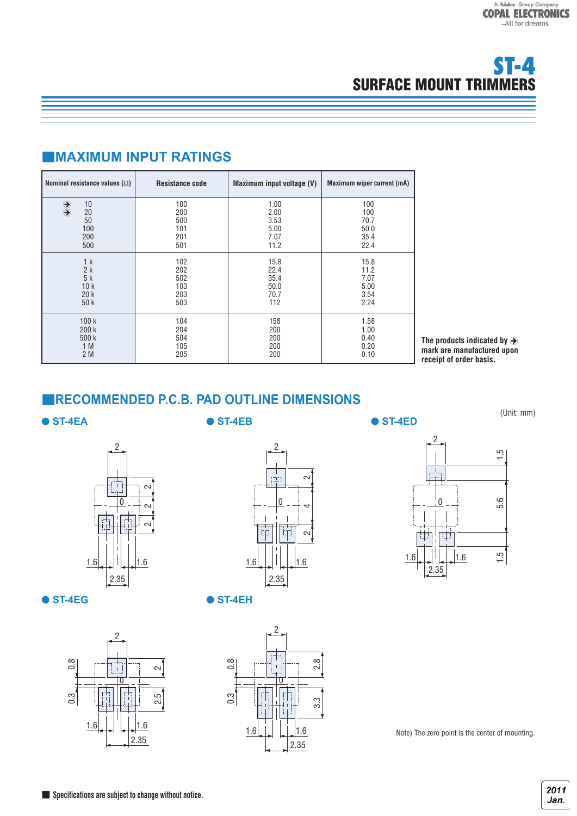# ■**MAXIMUM INPUT RATINGS**

| Nominal resistance values $(\Omega)$                                                        | <b>Resistance code</b>                 | Maximum input voltage (V)                    | Maximum wiper current (mA)                 |
|---------------------------------------------------------------------------------------------|----------------------------------------|----------------------------------------------|--------------------------------------------|
| 10<br>$\begin{array}{c} \bigoplus \ \bigoplus \end{array}$<br>20<br>50<br>100<br>200<br>500 | 100<br>200<br>500<br>101<br>201<br>501 | 1.00<br>2.00<br>3.53<br>5.00<br>7.07<br>11.2 | 100<br>100<br>70.7<br>50.0<br>35.4<br>22.4 |
| 1 <sub>k</sub>                                                                              | 102                                    | 15.8                                         | 15.8                                       |
| 2k                                                                                          | 202                                    | 22.4                                         | 11.2                                       |
| 5k                                                                                          | 502                                    | 35.4                                         | 7.07                                       |
| 10k                                                                                         | 103                                    | 50.0                                         | 5.00                                       |
| 20k                                                                                         | 203                                    | 70.7                                         | 3.54                                       |
| 50k                                                                                         | 503                                    | 112                                          | 2.24                                       |
| 100k                                                                                        | 104                                    | 158                                          | 1.58                                       |
| 200k                                                                                        | 204                                    | 200                                          | 1.00                                       |
| 500 k                                                                                       | 504                                    | 200                                          | 0.40                                       |
| 1 M                                                                                         | 105                                    | 200                                          | 0.20                                       |
| 2 M                                                                                         | 205                                    | 200                                          | 0.10                                       |

The products indicated by  $\hat{\rightarrow}$ **mark are manufactured upon receipt of order basis.**

### ■**RECOMMENDED P.C.B. PAD OUTLINE DIMENSIONS**

#### ● **ST-4EA**

● **ST-4EB** ● **ST-4ED** 

(Unit: mm)



● **ST-4EG** ● **ST-4EH** 









Note) The zero point is the center of mounting.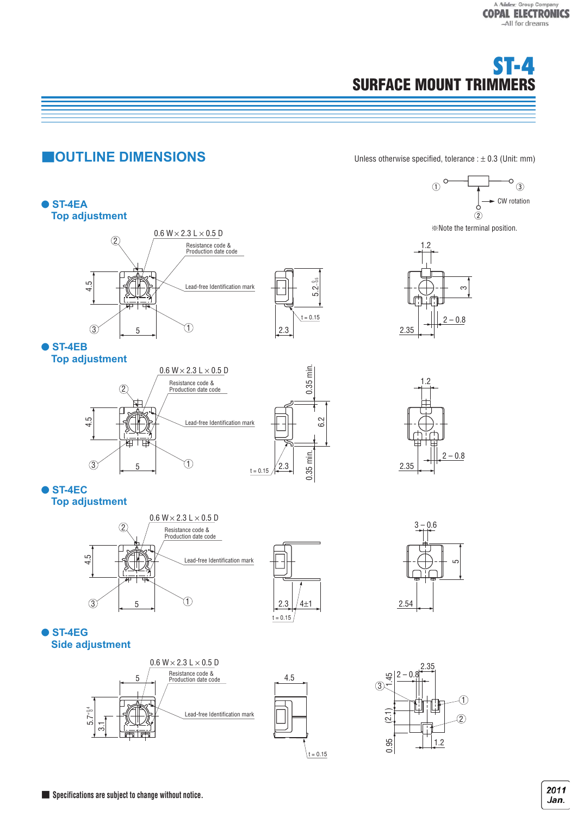

# **CUTLINE DIMENSIONS** Unless otherwise specified, tolerance : ± 0.3 (Unit: mm)

 $\circ$ 

1.2

2.35

※Note the terminal position.

 $\circled{2}$ 

CW rotation

O

 $\sqrt{3}$ 

 $-0.8$ 

ო





● **ST-4EC**





6.2

 $3 - 0.6$ 2.54 عا









**Specifications are subiect to change without notice.** The **Specifications are subject to change without notice.**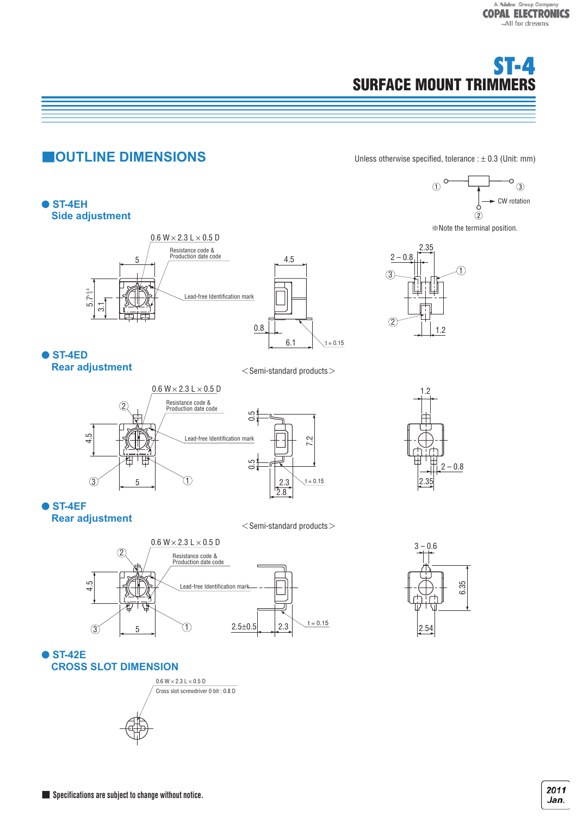# **CUTLINE DIMENSIONS** Unless otherwise specified, tolerance : ± 0.3 (Unit: mm)